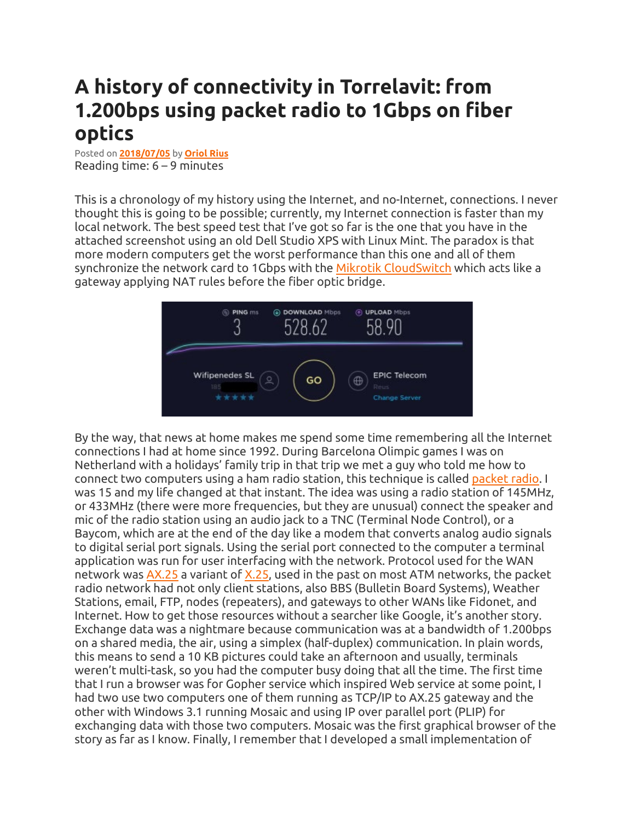## **A history of connectivity in Torrelavit: from 1.200bps using packet radio to 1Gbps on fiber optics**

Posted on **[2018/07/05](http://oriolrius.cat/blog/2018/07/05/a-history-of-connectivity-in-torrelavit-from-1-200bps-using-packet-radio-to-1gbps-on-fiber-optics/)** by **[Oriol](http://oriolrius.cat/blog/author/admin/) Rius** Reading time: 6 – 9 minutes

This is a chronology of my history using the Internet, and no-Internet, connections. I never thought this is going to be possible; currently, my Internet connection is faster than my local network. The best speed test that I've got so far is the one that you have in the attached screenshot using an old Dell Studio XPS with Linux Mint. The paradox is that more modern computers get the worst performance than this one and all of them synchronize the network card to 1Gbps with the Mikrotik [CloudSwitch](http://oriolrius.cat/blog/2014/01/29/routerboard-crs125-24g-1s-2hnd-in-mikrotik-cloud-switch/) which acts like a gateway applying NAT rules before the fiber optic bridge.



By the way, that news at home makes me spend some time remembering all the Internet connections I had at home since 1992. During Barcelona Olimpic games I was on Netherland with a holidays' family trip in that trip we met a guy who told me how to connect two computers using a ham radio station, this technique is called [packet](https://en.wikipedia.org/wiki/Packet_radio) radio. I was 15 and my life changed at that instant. The idea was using a radio station of 145MHz, or 433MHz (there were more frequencies, but they are unusual) connect the speaker and mic of the radio station using an audio jack to a TNC (Terminal Node Control), or a Baycom, which are at the end of the day like a modem that converts analog audio signals to digital serial port signals. Using the serial port connected to the computer a terminal application was run for user interfacing with the network. Protocol used for the WAN network was [AX.25](https://en.wikipedia.org/wiki/AX.25) a variant of [X.25,](https://en.wikipedia.org/wiki/X.25) used in the past on most ATM networks, the packet radio network had not only client stations, also BBS (Bulletin Board Systems), Weather Stations, email, FTP, nodes (repeaters), and gateways to other WANs like Fidonet, and Internet. How to get those resources without a searcher like Google, it's another story. Exchange data was a nightmare because communication was at a bandwidth of 1.200bps on a shared media, the air, using a simplex (half-duplex) communication. In plain words, this means to send a 10 KB pictures could take an afternoon and usually, terminals weren't multi-task, so you had the computer busy doing that all the time. The first time that I run a browser was for Gopher service which inspired Web service at some point, I had two use two computers one of them running as TCP/IP to AX.25 gateway and the other with Windows 3.1 running Mosaic and using IP over parallel port (PLIP) for exchanging data with those two computers. Mosaic was the first graphical browser of the story as far as I know. Finally, I remember that I developed a small implementation of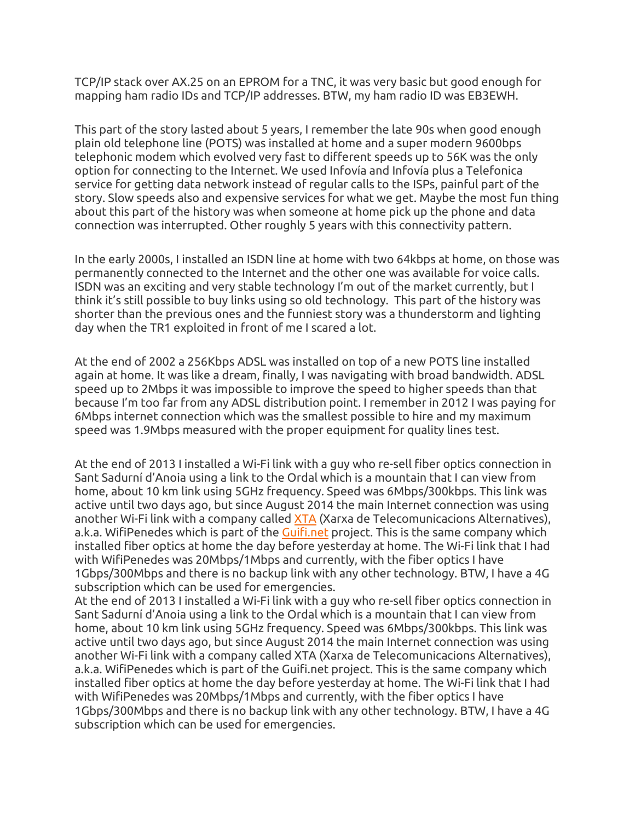TCP/IP stack over AX.25 on an EPROM for a TNC, it was very basic but good enough for mapping ham radio IDs and TCP/IP addresses. BTW, my ham radio ID was EB3EWH.

This part of the story lasted about 5 years, I remember the late 90s when good enough plain old telephone line (POTS) was installed at home and a super modern 9600bps telephonic modem which evolved very fast to different speeds up to 56K was the only option for connecting to the Internet. We used Infovía and Infovía plus a Telefonica service for getting data network instead of regular calls to the ISPs, painful part of the story. Slow speeds also and expensive services for what we get. Maybe the most fun thing about this part of the history was when someone at home pick up the phone and data connection was interrupted. Other roughly 5 years with this connectivity pattern.

In the early 2000s, I installed an ISDN line at home with two 64kbps at home, on those was permanently connected to the Internet and the other one was available for voice calls. ISDN was an exciting and very stable technology I'm out of the market currently, but I think it's still possible to buy links using so old technology. This part of the history was shorter than the previous ones and the funniest story was a thunderstorm and lighting day when the TR1 exploited in front of me I scared a lot.

At the end of 2002 a 256Kbps ADSL was installed on top of a new POTS line installed again at home. It was like a dream, finally, I was navigating with broad bandwidth. ADSL speed up to 2Mbps it was impossible to improve the speed to higher speeds than that because I'm too far from any ADSL distribution point. I remember in 2012 I was paying for 6Mbps internet connection which was the smallest possible to hire and my maximum speed was 1.9Mbps measured with the proper equipment for quality lines test.

At the end of 2013 I installed a Wi-Fi link with a guy who re-sell fiber optics connection in Sant Sadurní d'Anoia using a link to the Ordal which is a mountain that I can view from home, about 10 km link using 5GHz frequency. Speed was 6Mbps/300kbps. This link was active until two days ago, but since August 2014 the main Internet connection was using another Wi-Fi link with a company called [XTA](http://xta.cat/) (Xarxa de Telecomunicacions Alternatives), a.k.a. WifiPenedes which is part of the [Guifi.net](http://guifi.net/) project. This is the same company which installed fiber optics at home the day before yesterday at home. The Wi-Fi link that I had with WifiPenedes was 20Mbps/1Mbps and currently, with the fiber optics I have 1Gbps/300Mbps and there is no backup link with any other technology. BTW, I have a 4G subscription which can be used for emergencies.

At the end of 2013 I installed a Wi-Fi link with a guy who re-sell fiber optics connection in Sant Sadurní d'Anoia using a link to the Ordal which is a mountain that I can view from home, about 10 km link using 5GHz frequency. Speed was 6Mbps/300kbps. This link was active until two days ago, but since August 2014 the main Internet connection was using another Wi-Fi link with a company called XTA (Xarxa de Telecomunicacions Alternatives), a.k.a. WifiPenedes which is part of the Guifi.net project. This is the same company which installed fiber optics at home the day before yesterday at home. The Wi-Fi link that I had with WifiPenedes was 20Mbps/1Mbps and currently, with the fiber optics I have 1Gbps/300Mbps and there is no backup link with any other technology. BTW, I have a 4G subscription which can be used for emergencies.